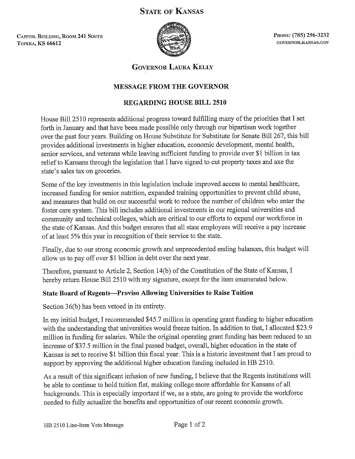# **STATE OF KANSAS**

CAPITOL BUILDING, ROOM 241 SOUTH **ТОРЕКА, KS 66612** 



PHONE: (785) 296-3232 GOVERNOR.KANSAS.GOV

**GOVERNOR LAURA KELLY** 

# **MESSAGE FROM THE GOVERNOR**

# **REGARDING HOUSE BILL 2510**

House Bill 2510 represents additional progress toward fulfilling many of the priorities that I set forth in January and that have been made possible only through our bipartisan work together over the past four years. Building on House Substitute for Substitute for Senate Bill 267, this bill provides additional investments in higher education, economic development, mental health, senior services, and veterans while leaving sufficient funding to provide over \$1 billion in tax relief to Kansans through the legislation that I have signed to cut property taxes and axe the state's sales tax on groceries.

Some of the key investments in this legislation include improved access to mental healthcare, increased funding for senior nutrition, expanded training opportunities to prevent child abuse, and measures that build on our successful work to reduce the number of children who enter the foster care system. This bill includes additional investments in our regional universities and community and technical colleges, which are critical to our efforts to expand our workforce in the state of Kansas. And this budget ensures that all state employees will receive a pay increase of at least 5% this year in recognition of their service to the state.

Finally, due to our strong economic growth and unprecedented ending balances, this budget will allow us to pay off over \$1 billion in debt over the next year.

Therefore, pursuant to Article 2, Section 14(b) of the Constitution of the State of Kansas. I hereby return House Bill 2510 with my signature, except for the item enumerated below.

# **State Board of Regents--- Proviso Allowing Universities to Raise Tuition**

Section 36(b) has been vetoed in its entirety.

In my initial budget, I recommended \$45.7 million in operating grant funding to higher education with the understanding that universities would freeze tuition. In addition to that, I allocated \$23.9 million in funding for salaries. While the original operating grant funding has been reduced to an increase of \$37.5 million in the final passed budget, overall, higher education in the state of Kansas is set to receive \$1 billion this fiscal year. This is a historic investment that I am proud to support by approving the additional higher education funding included in HB 2510.

As a result of this significant infusion of new funding, I believe that the Regents institutions will be able to continue to hold tuition flat, making college more affordable for Kansans of all backgrounds. This is especially important if we, as a state, are going to provide the workforce needed to fully actualize the benefits and opportunities of our recent economic growth.

HB 2510 Line-Item Veto Message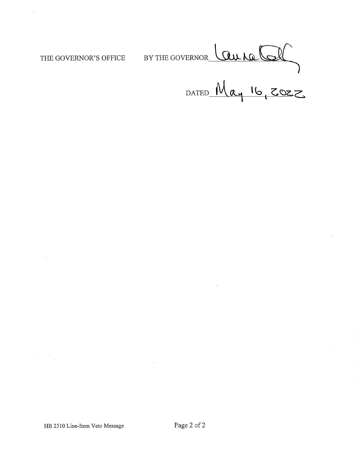THE GOVERNOR'S OFFICE

PERNOR Laura Col BY THE GOVERNOR\_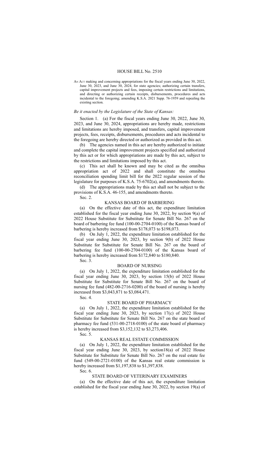#### HOUSE BILL No. 2510

AN ACT making and concerning appropriations for the fiscal years ending June 30, 2022, June 30, 2023, and June 30, 2024, for state agencies; authorizing certain transfers, capital improvement projects and fees, imposing certain restrictions and limitations, and directing or authorizing certain receipts, disbursements, procedures and acts incidental to the foregoing; amending K.S.A. 2021 Supp. 76-1959 and repealing the existing section.

#### *Be it enacted by the Legislature of the State of Kansas:*

Section 1. (a) For the fiscal years ending June 30, 2022, June 30, 2023, and June 30, 2024, appropriations are hereby made, restrictions and limitations are hereby imposed, and transfers, capital improvement projects, fees, receipts, disbursements, procedures and acts incidental to the foregoing are hereby directed or authorized as provided in this act.

(b) The agencies named in this act are hereby authorized to initiate and complete the capital improvement projects specified and authorized by this act or for which appropriations are made by this act, subject to the restrictions and limitations imposed by this act.

(c) This act shall be known and may be cited as the omnibus appropriation act of 2022 and shall constitute the omnibus reconciliation spending limit bill for the 2022 regular session of the legislature for purposes of K.S.A. 75-6702(a), and amendments thereto.

(d) The appropriations made by this act shall not be subject to the provisions of K.S.A. 46-155, and amendments thereto.

Sec. 2.

#### KANSAS BOARD OF BARBERING

(a) On the effective date of this act, the expenditure limitation established for the fiscal year ending June 30, 2022, by section 9(a) of 2022 House Substitute for Substitute for Senate Bill No. 267 on the board of barbering fee fund (100-00-2704-0100) of the Kansas board of barbering is hereby increased from \$178,073 to \$198,073.

(b) On July 1, 2022, the expenditure limitation established for the fiscal year ending June 30, 2023, by section 9(b) of 2022 House Substitute for Substitute for Senate Bill No. 267 on the board of barbering fee fund (100-00-2704-0100) of the Kansas board of barbering is hereby increased from \$172,840 to \$180,840.

Sec. 3.

## BOARD OF NURSING

(a) On July 1, 2022, the expenditure limitation established for the fiscal year ending June 30, 2023, by section 15(b) of 2022 House Substitute for Substitute for Senate Bill No. 267 on the board of nursing fee fund (482-00-2716-0200) of the board of nursing is hereby increased from \$3,043,871 to \$3,084,471.

Sec. 4.

### STATE BOARD OF PHARMACY

(a) On July 1, 2022, the expenditure limitation established for the fiscal year ending June 30, 2023, by section 17(c) of 2022 House Substitute for Substitute for Senate Bill No. 267 on the state board of pharmacy fee fund (531-00-2718-0100) of the state board of pharmacy is hereby increased from \$3,152,132 to \$3,273,406.

Sec. 5.

## KANSAS REAL ESTATE COMMISSION

(a) On July 1, 2022, the expenditure limitation established for the fiscal year ending June 30, 2023, by section18(a) of 2022 House Substitute for Substitute for Senate Bill No. 267 on the real estate fee fund (549-00-2721-0100) of the Kansas real estate commission is hereby increased from \$1,197,838 to \$1,397,838.

Sec. 6.

#### STATE BOARD OF VETERINARY EXAMINERS

(a) On the effective date of this act, the expenditure limitation established for the fiscal year ending June 30, 2022, by section 19(a) of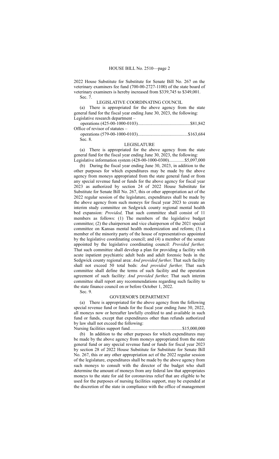2022 House Substitute for Substitute for Senate Bill No. 267 on the veterinary examiners fee fund (700-00-2727-1100) of the state board of veterinary examiners is hereby increased from \$339,745 to \$349,001. Sec. 7.

LEGISLATIVE COORDINATING COUNCIL

(a) There is appropriated for the above agency from the state general fund for the fiscal year ending June 30, 2023, the following: Legislative research department –

operations (425-00-1000-0103)..............................................\$81,842 Office of revisor of statutes –

operations (579-00-1000-0103)............................................\$163,684 Sec. 8.

## LEGISLATURE

(a) There is appropriated for the above agency from the state general fund for the fiscal year ending June 30, 2023, the following: Legislative information system (428-00-1000-0300).............\$5,097,000

(b) During the fiscal year ending June 30, 2023, in addition to the other purposes for which expenditures may be made by the above agency from moneys appropriated from the state general fund or from any special revenue fund or funds for the above agency for fiscal year 2023 as authorized by section 24 of 2022 House Substitute for Substitute for Senate Bill No. 267, this or other appropriation act of the 2022 regular session of the legislature, expenditures shall be made by the above agency from such moneys for fiscal year 2023 to create an interim study committee on Sedgwick county regional mental health bed expansion: *Provided,* That such committee shall consist of 11 members as follows: (1) The members of the legislative budget committee; (2) the chairperson and vice chairperson of the 2021 special committee on Kansas mental health modernization and reform; (3) a member of the minority party of the house of representatives appointed by the legislative coordinating council; and (4) a member of the senate appointed by the legislative coordinating council: *Provided further,* That such committee shall develop a plan for providing a facility with acute inpatient psychiatric adult beds and adult forensic beds in the Sedgwick county regional area: *And provided further,* That such facility shall not exceed 50 total beds: *And provided further,* That such committee shall define the terms of such facility and the operation agreement of such facility: *And provided further,* That such interim committee shall report any recommendations regarding such facility to the state finance council on or before October 1, 2022.

Sec. 9.

#### GOVERNOR'S DEPARTMENT

(a) There is appropriated for the above agency from the following special revenue fund or funds for the fiscal year ending June 30, 2022, all moneys now or hereafter lawfully credited to and available in such fund or funds, except that expenditures other than refunds authorized by law shall not exceed the following:

Nursing facilities support fund..............................................\$15,000,000 (b) In addition to the other purposes for which expenditures may be made by the above agency from moneys appropriated from the state general fund or any special revenue fund or funds for fiscal year 2023 by section 28 of 2022 House Substitute for Substitute for Senate Bill No. 267, this or any other appropriation act of the 2022 regular session of the legislature, expenditures shall be made by the above agency from such moneys to consult with the director of the budget who shall determine the amount of moneys from any federal law that appropriates moneys to the state for aid for coronavirus relief that are eligible to be used for the purposes of nursing facilities support, may be expended at the discretion of the state in compliance with the office of management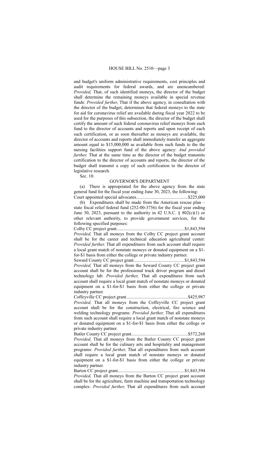and budget's uniform administrative requirements, cost principles and audit requirements for federal awards, and are unencumbered: *Provided,* That, of such identified moneys, the director of the budget shall determine the remaining moneys available in special revenue funds: *Provided further*, That if the above agency, in consultation with the director of the budget, determines that federal moneys to the state for aid for coronavirus relief are available during fiscal year 2022 to be used for the purposes of this subsection, the director of the budget shall certify the amount of such federal coronavirus relief moneys from each fund to the director of accounts and reports and upon receipt of each such certification, or as soon thereafter as moneys are available, the director of accounts and reports shall immediately transfer an aggregate amount equal to \$15,000,000 as available from such funds to the the nursing facilities support fund of the above agency: *And provided further*, That at the same time as the director of the budget transmits certification to the director of accounts and reports, the director of the budget shall transmit a copy of such certification to the director of legislative research.

Sec. 10.

#### GOVERNOR'S DEPARTMENT

(a) There is appropriated for the above agency from the state general fund for the fiscal year ending June 30, 2023, the following: Court appointed special advocates.............................................\$225,000

(b) Expenditures shall be made from the American rescue plan – state fiscal relief federal fund (252-00-3756) for the fiscal year ending June 30, 2023, pursuant to the authority in 42 U.S.C.  $\S$  802(c)(1) or other relevant authority, to provide government services, for the following specified purposes:

Colby CC project grant...........................................................\$1,843,594 *Provided,* That all moneys from the Colby CC project grant account shall be for the career and technical education agricultural center: *Provided further,* That all expenditures from such account shall require a local grant match of nonstate moneys or donated equipment on a \$1 for-\$1 basis from either the college or private industry partner.

Seward County CC project grant............................................\$1,843,594 *Provided,* That all moneys from the Seward County CC project grant account shall be for the professional truck driver program and diesel technology lab: *Provided further,* That all expenditures from such account shall require a local grant match of nonstate moneys or donated equipment on a \$1-for-\$1 basis from either the college or private industry partner.

Coffeyville CC project grant......................................................\$425,987 *Provided,* That all moneys from the Coffeyville CC project grant account shall be for the construction, electrical, fire science and welding technology programs: *Provided further,* That all expenditures from such account shall require a local grant match of nonstate moneys or donated equipment on a \$1-for-\$1 basis from either the college or private industry partner.

Butler County CC project grant.................................................\$572,268 *Provided,* That all moneys from the Butler County CC project grant account shall be for the culinary arts and hospitality and management programs: *Provided further,* That all expenditures from such account shall require a local grant match of nonstate moneys or donated equipment on a \$1-for-\$1 basis from either the college or private industry partner.

Barton CC project grant..........................................................\$1,843,594 *Provided,* That all moneys from the Barton CC project grant account shall be for the agriculture, farm machine and transportation technology complex: *Provided further,* That all expenditures from such account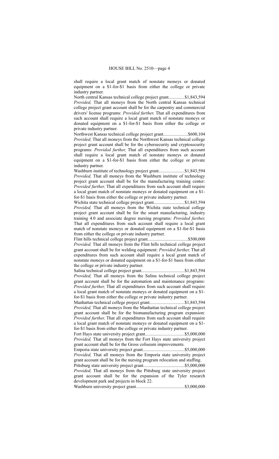shall require a local grant match of nonstate moneys or donated equipment on a \$1-for-\$1 basis from either the college or private industry partner.

North central Kansas technical college project grant..............\$1,843,594 *Provided,* That all moneys from the North central Kansas technical college project grant account shall be for the carpentry and commercial drivers' license programs: *Provided further,* That all expenditures from such account shall require a local grant match of nonstate moneys or donated equipment on a \$1-for-\$1 basis from either the college or private industry partner.

Northwest Kansas technical college project grant.....................\$600,104 *Provided,* That all moneys from the Northwest Kansas technical college project grant account shall be for the cybersecurity and cryptosecurity programs: *Provided further,* That all expenditures from such account shall require a local grant match of nonstate moneys or donated equipment on a \$1-for-\$1 basis from either the college or private industry partner.

Washburn institute of technology project grant.......................\$1,843,594 *Provided,* That all moneys from the Washburn institute of technology project grant account shall be for the manufacturing training center: *Provided further,* That all expenditures from such account shall require a local grant match of nonstate moneys or donated equipment on a \$1 for-\$1 basis from either the college or private industry partner.

Wichita state technical college project grant...........................\$1,843,594 *Provided,* That all moneys from the Wichita state technical college project grant account shall be for the smart manufacturing, industry training 4.0 and associate degree nursing programs: *Provided further,* That all expenditures from such account shall require a local grant match of nonstate moneys or donated equipment on a \$1-for-\$1 basis from either the college or private industry partner.

Flint hills technical college project grant...................................\$500,000 *Provided,* That all moneys from the Flint hills technical college project grant account shall be for welding equipment: *Provided further,* That all expenditures from such account shall require a local grant match of nonstate moneys or donated equipment on a \$1-for-\$1 basis from either the college or private industry partner.

Salina technical college project grant.....................................\$1,843,594 *Provided,* That all moneys from the Salina technical college project grant account shall be for the automation and maintenance programs: *Provided further,* That all expenditures from such account shall require a local grant match of nonstate moneys or donated equipment on a \$1 for-\$1 basis from either the college or private industry partner.

Manhattan technical college project grant..............................\$1,843,594 *Provided,* That all moneys from the Manhattan technical college project grant account shall be for the biomanufacturing program expansion: *Provided further,* That all expenditures from such account shall require a local grant match of nonstate moneys or donated equipment on a \$1 for-\$1 basis from either the college or private industry partner.

Fort Hays state university project grant..................................\$5,000,000 *Provided,* That all moneys from the Fort Hays state university project grant account shall be for the Gross coliseum improvements.

Emporia state university project grant....................................\$5,000,000 *Provided,* That all moneys from the Emporia state university project grant account shall be for the nursing program relocation and staffing.

Pittsburg state university project grant....................................\$5,000,000 *Provided,* That all moneys from the Pittsburg state university project grant account shall be for the expansion of the Tyler research development park and projects in block 22.

Washburn university project grant..........................................\$3,000,000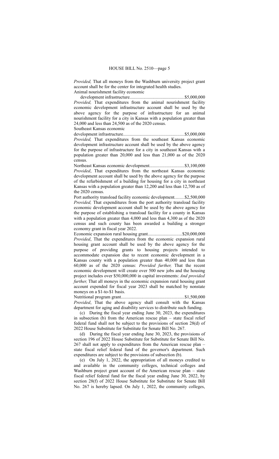*Provided,* That all moneys from the Washburn university project grant account shall be for the center for integrated health studies. Animal nourishment facility economic

development infrastructure................................................\$5,000,000 *Provided,* That expenditures from the animal nourishment facility economic development infrastructure account shall be used by the above agency for the purpose of infrastructure for an animal nourishment facility for a city in Kansas with a population greater than 24,000 and less than 24,500 as of the 2020 census.

Southeast Kansas economic

development infrastructure.....................................................\$5,000,000 *Provided,* That expenditures from the southeast Kansas economic development infrastructure account shall be used by the above agency for the purpose of infrastructure for a city in southeast Kansas with a population greater than 20,000 and less than 21,000 as of the 2020 census.

Northeast Kansas economic development..............................\$3,100,000 *Provided*, That expenditures from the northeast Kansas economic development account shall be used by the above agency for the purpose of the refurbishment of a building for housing for a city in northeast Kansas with a population greater than 12,200 and less than 12,700 as of the 2020 census.

Port authority transload facility economic development........\$2,500,000 *Provided,* That expenditures from the port authority transload facility economic development account shall be used by the above agency for the purpose of establishing a transload facility for a county in Kansas with a population greater than 4,000 and less than 4,300 as of the 2020 census and such county has been awarded a building a stronger economy grant in fiscal year 2022.

Economic expansion rural housing grant..............................\$20,000,000 *Provided*, That the expenditures from the economic expansion rural housing grant account shall be used by the above agency for the purpose of providing grants to housing projects intended to accommodate expansion due to recent economic development in a Kansas county with a population greater than 40,000 and less than 60,000 as of the 2020 census: *Provided further,* That the recent economic development will create over 500 new jobs and the housing project includes over \$50,000,000 in capital investments: *And provided further,* That all moneys in the economic expansion rural housing grant account expended for fiscal year 2023 shall be matched by nonstate moneys on a \$1-to-\$1 basis.

Nutritional program grant.......................................................\$1,500,000 *Provided*, That the above agency shall consult with the Kansas department for aging and disability services to distribute such funding.

(c) During the fiscal year ending June 30, 2023, the expenditures in subsection (b) from the American rescue plan – state fiscal relief federal fund shall not be subject to the provisions of section 28(d) of 2022 House Substitute for Substitute for Senate Bill No. 267.

(d) During the fiscal year ending June 30, 2023, the provisions of section 196 of 2022 House Substitute for Substitute for Senate Bill No. 267 shall not apply to expenditures from the American rescue plan – state fiscal relief federal fund of the governor's department. Such expenditures are subject to the provisions of subsection (b).

(e) On July 1, 2022, the appropriation of all moneys credited to and available in the community colleges, technical colleges and Washburn project grant account of the American rescue plan – state fiscal relief federal fund for the fiscal year ending June 30, 2022, by section 28(f) of 2022 House Substitute for Substitute for Senate Bill No. 267 is hereby lapsed. On July 1, 2022, the community colleges,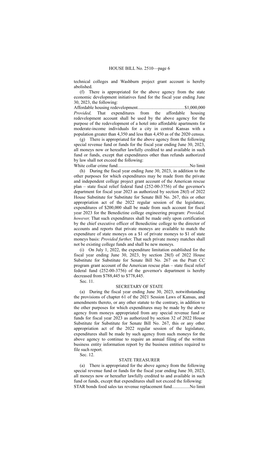technical colleges and Washburn project grant account is hereby abolished.

(f) There is appropriated for the above agency from the state economic development initiatives fund for the fiscal year ending June 30, 2023, the following:

Affordable housing redevelopment.........................................\$1,000,000 *Provided,* That expenditures from the affordable housing redevelopment account shall be used by the above agency for the purpose of the redevelopment of a hotel into affordable apartments for moderate-income individuals for a city in central Kansas with a population greater than 4,350 and less than 4,450 as of the 2020 census.

(g) There is appropriated for the above agency from the following special revenue fund or funds for the fiscal year ending June 30, 2023, all moneys now or hereafter lawfully credited to and available in such fund or funds, except that expenditures other than refunds authorized by law shall not exceed the following: White collar crime fund...............................................................No limit

(h) During the fiscal year ending June 30, 2023, in addition to the other purposes for which expenditures may be made from the private and independent college project grant account of the American rescue plan – state fiscal relief federal fund (252-00-3756) of the governor's department for fiscal year 2023 as authorized by section 28(f) of 2022 House Substitute for Substitute for Senate Bill No. 267, this or other appropriation act of the 2022 regular session of the legislature, expenditures of \$200,000 shall be made from such account for fiscal year 2023 for the Benedictine college engineering program: *Provided, however,* That such expenditures shall be made only upon certification by the chief executive officer of Benedictine college to the director of accounts and reports that private moneys are available to match the expenditure of state moneys on a \$1 of private moneys to \$1 of state moneys basis: *Provided further,* That such private money matches shall not be existing college funds and shall be new moneys.

(i) On July 1, 2022, the expenditure limitation established for the fiscal year ending June 30, 2023, by section 28(f) of 2022 House Substitute for Substitute for Senate Bill No. 267 on the Pratt CC program grant account of the American rescue plan – state fiscal relief federal fund (252-00-3756) of the governor's department is hereby decreased from \$788,445 to \$778,445.

Sec. 11.

### SECRETARY OF STATE

(a) During the fiscal year ending June 30, 2023, notwithstanding the provisions of chapter 61 of the 2021 Session Laws of Kansas, and amendments thereto, or any other statute to the contrary, in addition to the other purposes for which expenditures may be made by the above agency from moneys appropriated from any special revenue fund or funds for fiscal year 2023 as authorized by section 32 of 2022 House Substitute for Substitute for Senate Bill No. 267, this or any other appropriation act of the 2022 regular session of the legislature, expenditures shall be made by such agency from such moneys for the above agency to continue to require an annual filing of the written business entity information report by the business entities required to file such report.

Sec. 12.

#### STATE TREASURER

(a) There is appropriated for the above agency from the following special revenue fund or funds for the fiscal year ending June 30, 2023, all moneys now or hereafter lawfully credited to and available in such fund or funds, except that expenditures shall not exceed the following: STAR bonds food sales tax revenue replacement fund...............No limit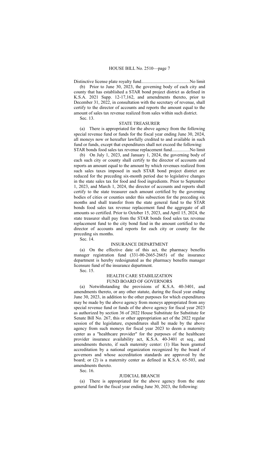Distinctive license plate royalty fund..........................................No limit

(b) Prior to June 30, 2023, the governing body of each city and county that has established a STAR bond project district as defined in K.S.A. 2021 Supp. 12-17,162, and amendments thereto, prior to December 31, 2022, in consultation with the secretary of revenue, shall certify to the director of accounts and reports the amount equal to the amount of sales tax revenue realized from sales within such district.

Sec. 13.

#### STATE TREASURER

(a) There is appropriated for the above agency from the following special revenue fund or funds for the fiscal year ending June 30, 2024, all moneys now or hereafter lawfully credited to and available in such fund or funds, except that expenditures shall not exceed the following: STAR bonds food sales tax revenue replacement fund...............No limit

(b) On July 1, 2023, and January 1, 2024, the governing body of each such city or county shall certify to the director of accounts and reports an amount equal to the amount by which revenues realized from such sales taxes imposed in such STAR bond project district are reduced for the preceding six-month period due to legislative changes in the state sales tax for food and food ingredients. Prior to September 1, 2023, and March 1, 2024, the director of accounts and reports shall certify to the state treasurer each amount certified by the governing bodies of cities or counties under this subsection for the preceding six months and shall transfer from the state general fund to the STAR bonds food sales tax revenue replacement fund the aggregate of all amounts so certified. Prior to October 15, 2023, and April 15, 2024, the state treasurer shall pay from the STAR bonds food sales tax revenue replacement fund to the city bond fund in the amount certified to the director of accounts and reports for each city or county for the preceding six months.

Sec. 14.

#### INSURANCE DEPARTMENT

(a) On the effective date of this act, the pharmacy benefits manager registration fund (331-00-2665-2665) of the insurance department is hereby redesignated as the pharmacy benefits manager licensure fund of the insurance department.

Sec. 15.

## HEALTH CARE STABILIZATION FUND BOARD OF GOVERNORS

(a) Notwithstanding the provisions of K.S.A. 40-3401, and amendments thereto, or any other statute, during the fiscal year ending June 30, 2023, in addition to the other purposes for which expenditures may be made by the above agency from moneys appropriated from any special revenue fund or funds of the above agency for fiscal year 2023 as authorized by section 36 of 2022 House Substitute for Substitute for Senate Bill No. 267, this or other appropriation act of the 2022 regular session of the legislature, expenditures shall be made by the above agency from such moneys for fiscal year 2023 to deem a maternity center as a "healthcare provider" for the purposes of the healthcare provider insurance availability act, K.S.A. 40-3401 et seq., and amendments thereto, if such maternity center: (1) Has been granted accreditation by a national organization recognized by the board of governors and whose accreditation standards are approved by the board; or (2) is a maternity center as defined in K.S.A. 65-503, and amendments thereto.

Sec. 16.

#### JUDICIAL BRANCH

(a) There is appropriated for the above agency from the state general fund for the fiscal year ending June 30, 2023, the following: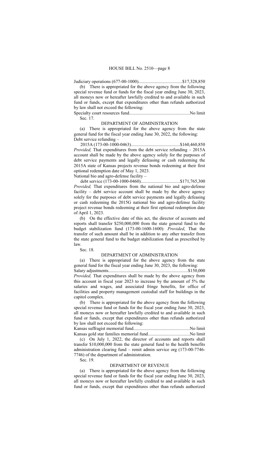Judiciary operations (677-00-1000)......................................\$17,328,850

(b) There is appropriated for the above agency from the following special revenue fund or funds for the fiscal year ending June 30, 2023, all moneys now or hereafter lawfully credited to and available in such fund or funds, except that expenditures other than refunds authorized by law shall not exceed the following: Specialty court resources fund.....................................................No limit

Sec. 17.

DEPARTMENT OF ADMINISTRATION

(a) There is appropriated for the above agency from the state general fund for the fiscal year ending June 30, 2022, the following: Debt service refunding –

2015A (173-00-1000-0463)...........................................\$160,460,850 *Provided,* That expenditures from the debt service refunding – 2015A account shall be made by the above agency solely for the purposes of debt service payments and legally defeasing or cash redeeming the 2015A state of Kansas projects revenue bonds redeeming at their first optional redemption date of May 1, 2023.

National bio and agro-defense facility –

debt service (173-00-1000-0460)..................................\$171,765,300 *Provided,* That expenditures from the national bio and agro-defense facility – debt service account shall be made by the above agency solely for the purposes of debt service payments and legally defeasing or cash redeeming the 2015G national bio and agro-defense facility project revenue bonds redeeming at their first optional redemption date of April 1, 2023.

(b) On the effective date of this act, the director of accounts and reports shall transfer \$250,000,000 from the state general fund to the budget stabilization fund (173-00-1600-1600): *Provided*, That the transfer of such amount shall be in addition to any other transfer from the state general fund to the budget stabilization fund as prescribed by law.

Sec. 18.

#### DEPARTMENT OF ADMINISTRATION

(a) There is appropriated for the above agency from the state general fund for the fiscal year ending June 30, 2023, the following: Salary adjustments.....................................................................\$150,000 *Provided,* That expenditures shall be made by the above agency from this account in fiscal year 2023 to increase by the amount of 5% the salaries and wages, and associated fringe benefits, for office of

facilities and property management custodial staff for buildings in the capitol complex. (b) There is appropriated for the above agency from the following

special revenue fund or funds for the fiscal year ending June 30, 2023, all moneys now or hereafter lawfully credited to and available in such fund or funds, except that expenditures other than refunds authorized by law shall not exceed the following:

Kansas suffragist memorial fund.................................................No limit Kansas gold star families memorial fund....................................No limit

(c) On July 1, 2022, the director of accounts and reports shall transfer \$10,000,000 from the state general fund to the health benefits administration clearing fund – remit admin service org (173-00-7746- 7746) of the department of administration.

Sec. 19.

#### DEPARTMENT OF REVENUE

(a) There is appropriated for the above agency from the following special revenue fund or funds for the fiscal year ending June 30, 2023, all moneys now or hereafter lawfully credited to and available in such fund or funds, except that expenditures other than refunds authorized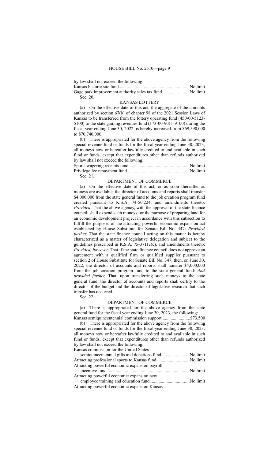by law shall not exceed the following:

Kansas historic site fund..............................................................No limit

| Sec. 20. |  |
|----------|--|

#### KANSAS LOTTERY

(a) On the effective date of this act, the aggregate of the amounts authorized by section 67(b) of chapter 98 of the 2021 Session Laws of Kansas to be transferred from the lottery operating fund (450-00-5123- 5100) to the state gaming revenues fund (173-00-9011-9100) during the fiscal year ending June 30, 2022, is hereby increased from \$69,590,000 to \$70,740,000.

(b) There is appropriated for the above agency from the following special revenue fund or funds for the fiscal year ending June 30, 2023, all moneys now or hereafter lawfully credited to and available in such fund or funds, except that expenditures other than refunds authorized by law shall not exceed the following:

Sec. 21.

## DEPARTMENT OF COMMERCE

(a) On the effective date of this act, or as soon thereafter as moneys are available, the director of accounts and reports shall transfer \$4,000,000 from the state general fund to the job creation program fund created pursuant to K.S.A. 74-50,224, and amendments thereto: *Provided*, That the above agency, with the approval of the state finance council, shall expend such moneys for the purpose of preparing land for an economic development project in accordance with this subsection to fulfill the purposes of the attracting powerful economic expansion act established by House Substitute for Senate Bill No. 347: *Provided further*, That the state finance council acting on this matter is hereby characterized as a matter of legislative delegation and subject to the guidelines prescribed in K.S.A. 75-3711c(c), and amendments thereto: *Provided, however,* That if the state finance council does not approve an agreement with a qualified firm or qualified supplier pursuant to section 2 of House Substitute for Senate Bill No. 347, then, on June 30, 2022, the director of accounts and reports shall transfer \$4,000,000 from the job creation program fund to the state general fund: *And provided further,* That, upon transferring such moneys to the state general fund, the director of accounts and reports shall certify to the director of the budget and the director of legislative research that such transfer has occurred.

Sec. 22.

#### DEPARTMENT OF COMMERCE

(a) There is appropriated for the above agency from the state general fund for the fiscal year ending June 30, 2023, the following:

Kansas semiquincentennial commission support.............................\$73,500 (b) There is appropriated for the above agency from the following special revenue fund or funds for the fiscal year ending June 30, 2023, all moneys now or hereafter lawfully credited to and available in such fund or funds, except that expenditures other than refunds authorized by law shall not exceed the following:

Kansas commission for the United States

| Attracting powerful economic expansion payroll |          |
|------------------------------------------------|----------|
|                                                |          |
| Attracting powerful economic expansion new     |          |
| annlarge training and advection find           | No limit |

employee training and education fund...................................No limit Attracting powerful economic expansion Kansas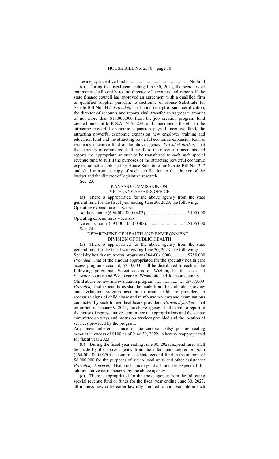residency incentive fund........................................................No limit (c) During the fiscal year ending June 30, 2023, the secretary of commerce shall certify to the director of accounts and reports if the state finance council has approved an agreement with a qualified firm or qualified supplier pursuant to section 2 of House Substitute for Senate Bill No. 347: *Provided*, That upon receipt of such certification, the director of accounts and reports shall transfer an aggregate amount of not more than \$19,000,000 from the job creation program fund created pursuant to K.S.A. 74-50,224, and amendments thereto, to the attracting powerful economic expansion payroll incentive fund, the attracting powerful economic expansion new employee training and education fund and the attracting powerful economic expansion Kansas residency incentive fund of the above agency: *Provided further*, That the secretary of commerce shall certify to the director of accounts and reports the appropriate amount to be transferred to each such special revenue fund to fulfill the purposes of the attracting powerful economic expansion act established by House Substitute for Senate Bill No. 347 and shall transmit a copy of such certification to the director of the budget and the director of legislative research.

Sec. 23.

## KANSAS COMMISSION ON VETERANS AFFAIRS OFFICE

(a) There is appropriated for the above agency from the state general fund for the fiscal year ending June 30, 2023, the following: Operating expenditures – Kansas

| Operating expenditures – Kansas                  |          |
|--------------------------------------------------|----------|
| $v_{\text{aterno}}$ home $(604, 00, 1000, 0503)$ | \$105.00 |

veterans' home (694-00-1000-0503)....................................\$105,000 Sec. 24.

# DEPARTMENT OF HEALTH AND ENVIRONMENT –

## DIVISION OF PUBLIC HEALTH

(a) There is appropriated for the above agency from the state general fund for the fiscal year ending June 30, 2023, the following: Specialty health care access programs (264-00-1000)...............\$750,000 *Provided*, That of the amount appropriated for the specialty health care access programs account, \$250,000 shall be distributed to each of the following programs: Project access of Wichita, health access of Shawnee county, and Wy Jo care of Wyandotte and Johnson counties. Child abuse review and evaluation program................................\$757,000 *Provided,* That expenditures shall be made from the child abuse review and evaluation program account to train healthcare providers to recognize signs of child abuse and reimburse reviews and examinations conducted by such trained healthcare providers: *Provided further,* That on or before January 9, 2023, the above agency shall submit a report to the house of representatives committee on appropriations and the senate committee on ways and means on services provided and the location of services provided by the program.

Any unencumbered balance in the cerebral palsy posture seating account in excess of \$100 as of June 30, 2022, is hereby reappropriated for fiscal year 2023.

(b) During the fiscal year ending June 30, 2023, expenditures shall be made by the above agency from the infant and toddler program (264-00-1000-0570) account of the state general fund in the amount of \$6,000,000 for the purposes of aid to local units and other assistance: *Provided, however,* That such moneys shall not be expended for administrative costs incurred by the above agency.

(c) There is appropriated for the above agency from the following special revenue fund or funds for the fiscal year ending June 30, 2023, all moneys now or hereafter lawfully credited to and available in such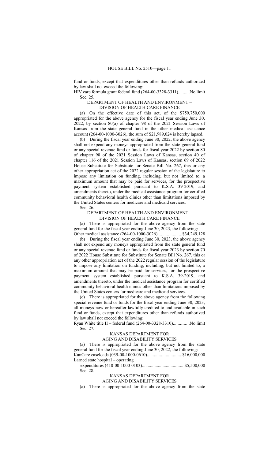fund or funds, except that expenditures other than refunds authorized by law shall not exceed the following:

HIV care formula grant federal fund (264-00-3328-3311)..........No limit Sec. 25.

DEPARTMENT OF HEALTH AND ENVIRONMENT –

DIVISION OF HEALTH CARE FINANCE

(a) On the effective date of this act, of the \$759,750,000 appropriated for the above agency for the fiscal year ending June 30, 2022, by section 80(a) of chapter 98 of the 2021 Session Laws of Kansas from the state general fund in the other medical assistance account (264-00-1000-3026), the sum of \$21,989,024 is hereby lapsed.

(b) During the fiscal year ending June 30, 2022, the above agency shall not expend any moneys appropriated from the state general fund or any special revenue fund or funds for fiscal year 2022 by section 80 of chapter 98 of the 2021 Session Laws of Kansas, section 40 of chapter 116 of the 2021 Session Laws of Kansas, section 69 of 2022 House Substitute for Substitute for Senate Bill No. 267, this or any other appropriation act of the 2022 regular session of the legislature to impose any limitation on funding, including, but not limited to, a maximum amount that may be paid for services, for the prospective payment system established pursuant to K.S.A. 39-2019, and amendments thereto, under the medical assistance program for certified community behavioral health clinics other than limitations imposed by the United States centers for medicare and medicaid services.

Sec. 26.

## DEPARTMENT OF HEALTH AND ENVIRONMENT – DIVISION OF HEALTH CARE FINANCE

(a) There is appropriated for the above agency from the state general fund for the fiscal year ending June 30, 2023, the following: Other medical assistance (264-00-1000-3026).....................\$34,249,128

(b) During the fiscal year ending June 30, 2023, the above agency shall not expend any moneys appropriated from the state general fund or any special revenue fund or funds for fiscal year 2023 by section 70 of 2022 House Substitute for Substitute for Senate Bill No. 267, this or any other appropriation act of the 2022 regular session of the legislature to impose any limitation on funding, including, but not limited to, a maximum amount that may be paid for services, for the prospective payment system established pursuant to K.S.A. 39-2019, and amendments thereto, under the medical assistance program for certified community behavioral health clinics other than limitations imposed by the United States centers for medicare and medicaid services.

(c) There is appropriated for the above agency from the following special revenue fund or funds for the fiscal year ending June 30, 2023, all moneys now or hereafter lawfully credited to and available in such fund or funds, except that expenditures other than refunds authorized by law shall not exceed the following:

Ryan White title II – federal fund (264-00-3328-3310)..............No limit Sec. 27.

KANSAS DEPARTMENT FOR

## AGING AND DISABILITY SERVICES

(a) There is appropriated for the above agency from the state general fund for the fiscal year ending June 30, 2022, the following: KanCare caseloads (039-00-1000-0610)..............................\$16,000,000 Larned state hospital – operating

expenditures (410-00-1000-0103).....................................\$5,500,000 Sec. 28.

# KANSAS DEPARTMENT FOR

## AGING AND DISABILITY SERVICES

(a) There is appropriated for the above agency from the state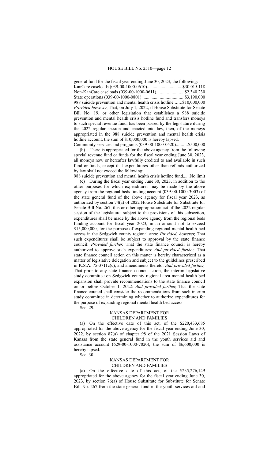general fund for the fiscal year ending June 30, 2023, the following: KanCare caseloads (039-00-1000-0610)...............................\$30,015,118 Non-KanCare caseloads (039-00-1000-0611)........................\$2,340,230 State operations (039-00-1000-0801) ....................................\$3,190,000 988 suicide prevention and mental health crisis hotline.......\$10,000,000 *Provided however*, That, on July 1, 2022, if House Substitute for Senate Bill No. 19, or other legislation that establishes a 988 suicide prevention and mental health crisis hotline fund and transfers moneys to such special revenue fund, has been passed by the legislature during the 2022 regular session and enacted into law, then, of the moneys appropriated in the 988 suicide prevention and mental health crisis hotline account, the sum of \$10,000,000 is hereby lapsed.

Community services and programs (039-00-1000-0520)..........\$500,000 (b) There is appropriated for the above agency from the following special revenue fund or funds for the fiscal year ending June 30, 2023, all moneys now or hereafter lawfully credited to and available in such fund or funds, except that expenditures other than refunds authorized by law shall not exceed the following:

988 suicide prevention and mental health crisis hotline fund......No limit (c) During the fiscal year ending June 30, 2023, in addition to the other purposes for which expenditures may be made by the above agency from the regional beds funding account (039-00-1000-3003) of the state general fund of the above agency for fiscal year 2023, as authorized by section 74(a) of 2022 House Substitute for Substitute for Senate Bill No. 267, this or other appropriation act of the 2022 regular session of the legislature, subject to the provisions of this subsection, expenditures shall be made by the above agency from the regional beds funding account for fiscal year 2023, in an amount not to exceed \$15,000,000, for the purpose of expanding regional mental health bed access in the Sedgwick county regional area: *Provided, however,* That such expenditures shall be subject to approval by the state finance council: *Provided further,* That the state finance council is hereby authorized to approve such expenditures: *And provided further,* That state finance council action on this matter is hereby characterized as a matter of legislative delegation and subject to the guidelines prescribed in K.S.A. 75-3711c(c), and amendments thereto: *And provided further,* That prior to any state finance council action, the interim legislative study committee on Sedgwick county regional area mental health bed expansion shall provide recommendations to the state finance council on or before October 1, 2022: *And provided further,* That the state finance council shall consider the recommendations from such interim study committee in determining whether to authorize expenditures for the purpose of expanding regional mental health bed access. Sec. 29.

## KANSAS DEPARTMENT FOR CHILDREN AND FAMILIES

(a) On the effective date of this act, of the \$220,433,685 appropriated for the above agency for the fiscal year ending June 30, 2022, by section 87(a) of chapter 98 of the 2021 Session Laws of Kansas from the state general fund in the youth services aid and assistance account (629-00-1000-7020), the sum of \$6,600,000 is hereby lapsed.

Sec. 30.

## KANSAS DEPARTMENT FOR CHILDREN AND FAMILIES

(a) On the effective date of this act, of the \$235,276,149 appropriated for the above agency for the fiscal year ending June 30, 2023, by section 76(a) of House Substitute for Substitute for Senate Bill No. 267 from the state general fund in the youth services aid and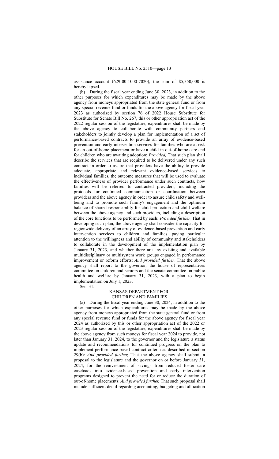assistance account (629-00-1000-7020), the sum of \$5,350,000 is hereby lapsed.

(b) During the fiscal year ending June 30, 2023, in addition to the other purposes for which expenditures may be made by the above agency from moneys appropriated from the state general fund or from any special revenue fund or funds for the above agency for fiscal year 2023 as authorized by section 76 of 2022 House Substitute for Substitute for Senate Bill No. 267, this or other appropriation act of the 2022 regular session of the legislature, expenditures shall be made by the above agency to collaborate with community partners and stakeholders to jointly develop a plan for implementation of a set of performance-based contracts to provide an array of evidence-based prevention and early intervention services for families who are at risk for an out-of-home placement or have a child in out-of-home care and for children who are awaiting adoption: *Provided,* That such plan shall describe the services that are required to be delivered under any such contract in order to assure that providers have the ability to provide adequate, appropriate and relevant evidence-based services to individual families, the outcome measures that will be used to evaluate the effectiveness of provider performance under such contracts, how families will be referred to contracted providers, including the protocols for continued communication or coordination between providers and the above agency in order to assure child safety and wellbeing and to promote such family's engagement and the optimum balance of shared responsibility for child protection and child welfare between the above agency and such providers, including a description of the core functions to be performed by each: *Provided further,* That in developing such plan, the above agency shall consider the capacity for regionwide delivery of an array of evidence-based prevention and early intervention services to children and families, paying particular attention to the willingness and ability of community and stakeholders to collaborate in the development of the implementation plan by January 31, 2023, and whether there are any existing and available multidisciplinary or multisystem work groups engaged in performance improvement or reform efforts: *And provided further,* That the above agency shall report to the governor, the house of representatives committee on children and seniors and the senate committee on public health and welfare by January 31, 2023, with a plan to begin implementation on July 1, 2023.

Sec. 31.

## KANSAS DEPARTMENT FOR CHILDREN AND FAMILIES

(a) During the fiscal year ending June 30, 2024, in addition to the other purposes for which expenditures may be made by the above agency from moneys appropriated from the state general fund or from any special revenue fund or funds for the above agency for fiscal year 2024 as authorized by this or other appropriation act of the 2022 or 2023 regular session of the legislature, expenditures shall be made by the above agency from such moneys for fiscal year 2024 to provide, not later than January 31, 2024, to the governor and the legislature a status update and recommendations for continued progress on the plan to implement performance-based contract criteria as described in section 29(b): *And provided further,* That the above agency shall submit a proposal to the legislature and the governor on or before January 31, 2024, for the reinvestment of savings from reduced foster care caseloads into evidence-based prevention and early intervention programs designed to prevent the need for or reduce the duration of out-of-home placements: *And provided further,* That such proposal shall include sufficient detail regarding accounting, budgeting and allocation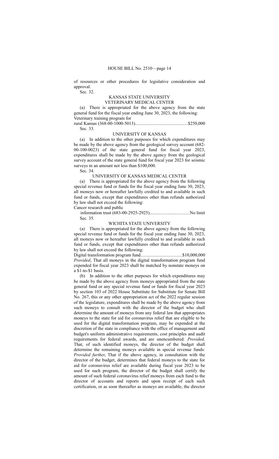of resources or other procedures for legislative consideration and approval.

Sec. 32.

## KANSAS STATE UNIVERSITY VETERINARY MEDICAL CENTER

(a) There is appropriated for the above agency from the state general fund for the fiscal year ending June 30, 2023, the following: Veterinary training program for

rural Kansas (368-00-1000-5013)..............................................\$250,000 Sec. 33.

## UNIVERSITY OF KANSAS

(a) In addition to the other purposes for which expenditures may be made by the above agency from the geological survey account (682- 00-100-0023) of the state general fund for fiscal year 2023, expenditures shall be made by the above agency from the geological survey account of the state general fund for fiscal year 2023 for seismic surveys in an amount not less than \$100,000.

Sec. 34.

UNIVERSITY OF KANSAS MEDICAL CENTER

(a) There is appropriated for the above agency from the following special revenue fund or funds for the fiscal year ending June 30, 2023, all moneys now or hereafter lawfully credited to and available in such fund or funds, except that expenditures other than refunds authorized by law shall not exceed the following:

Cancer research and public

information trust (683-00-2925-2925)...................................No limit Sec. 35.

## WICHITA STATE UNIVERSITY

(a) There is appropriated for the above agency from the following special revenue fund or funds for the fiscal year ending June 30, 2023, all moneys now or hereafter lawfully credited to and available in such fund or funds, except that expenditures other than refunds authorized by law shall not exceed the following:

Digital transformation program fund....................................\$10,000,000 *Provided*, That all moneys in the digital transformation program fund expended for fiscal year 2023 shall be matched by nonstate moneys on a \$1-to-\$1 basis.

(b) In addition to the other purposes for which expenditures may be made by the above agency from moneys appropriated from the state general fund or any special revenue fund or funds for fiscal year 2023 by section 103 of 2022 House Substitute for Substitute for Senate Bill No. 267, this or any other appropriation act of the 2022 regular session of the legislature, expenditures shall be made by the above agency from such moneys to consult with the director of the budget who shall determine the amount of moneys from any federal law that appropriates moneys to the state for aid for coronavirus relief that are eligible to be used for the digital transformation program, may be expended at the discretion of the state in compliance with the office of management and budget's uniform administrative requirements, cost principles and audit requirements for federal awards, and are unencumbered: *Provided,* That, of such identified moneys, the director of the budget shall determine the remaining moneys available in special revenue funds: *Provided further*, That if the above agency, in consultation with the director of the budget, determines that federal moneys to the state for aid for coronavirus relief are available during fiscal year 2023 to be used for such program, the director of the budget shall certify the amount of such federal coronavirus relief moneys from each fund to the director of accounts and reports and upon receipt of each such certification, or as soon thereafter as moneys are available, the director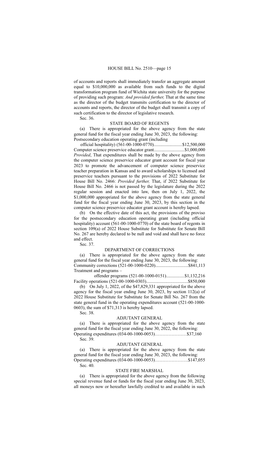of accounts and reports shall immediately transfer an aggregate amount equal to \$10,000,000 as available from such funds to the digital transformation program fund of Wichita state university for the purpose of providing such program: *And provided further,* That at the same time as the director of the budget transmits certification to the director of accounts and reports, the director of the budget shall transmit a copy of such certification to the director of legislative research.

Sec. 36.

### STATE BOARD OF REGENTS

(a) There is appropriated for the above agency from the state general fund for the fiscal year ending June 30, 2023, the following: Postsecondary education operating grant (including

official hospitality) (561-00-1000-0770).........................\$12,500,000 Computer science preservice educator grant...........................\$1,000,000 *Provided*, That expenditures shall be made by the above agency from the computer science preservice educator grant account for fiscal year 2023 to promote the advancement of computer science preservice teacher preparation in Kansas and to award scholarships to licensed and preservice teachers pursuant to the provisions of 2022 Substitute for House Bill No. 2466: *Provided further,* That, if 2022 Substitute for House Bill No. 2466 is not passed by the legislature during the 2022 regular session and enacted into law, then on July 1, 2022, the \$1,000,000 appropriated for the above agency from the state general fund for the fiscal year ending June 30, 2023, by this section in the computer science preservice educator grant account is hereby lapsed.

(b) On the effective date of this act, the provisions of the proviso for the postsecondary education operating grant (including official hospitality) account (561-00-1000-0770) of the state board of regents in section 109(a) of 2022 House Substitute for Substitute for Senate Bill No. 267 are hereby declared to be null and void and shall have no force and effect.

Sec. 37.

#### DEPARTMENT OF CORRECTIONS

(a) There is appropriated for the above agency from the state general fund for the fiscal year ending June 30, 2023, the following: Community corrections (521-00-1000-0220)............................\$841,113 Treatment and programs –

 offender programs (521-00-1000-0151)................\$1,132,216 Facility operations (521-00-1000-0303)....................................\$850,000

(b) On July 1, 2022, of the \$47,829,331 appropriated for the above agency for the fiscal year ending June 30, 2023, by section 112(a) of 2022 House Substitute for Substitute for Senate Bill No. 267 from the state general fund in the operating expenditures account (521-00-1000- 0603), the sum of \$71,313 is hereby lapsed.

Sec. 38.

## ADJUTANT GENERAL

(a) There is appropriated for the above agency from the state general fund for the fiscal year ending June 30, 2022, the following: Operating expenditures (034-00-1000-0053)…………………\$37,160 Sec. 39.

### ADJUTANT GENERAL

(a) There is appropriated for the above agency from the state general fund for the fiscal year ending June 30, 2023, the following: Operating expenditures (034-00-1000-0053)………………….\$147,055

Sec. 40.

## STATE FIRE MARSHAL

(a) There is appropriated for the above agency from the following special revenue fund or funds for the fiscal year ending June 30, 2023, all moneys now or hereafter lawfully credited to and available in such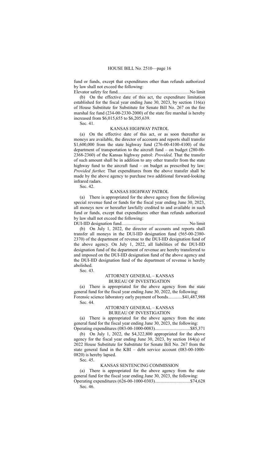fund or funds, except that expenditures other than refunds authorized by law shall not exceed the following: Elevator safety fee fund...............................................................No limit

(b) On the effective date of this act, the expenditure limitation established for the fiscal year ending June 30, 2023, by section 116(a) of House Substitute for Substitute for Senate Bill No. 267 on the fire marshal fee fund (234-00-2330-2000) of the state fire marshal is hereby increased from \$6,015,655 to \$6,205,639.

Sec. 41.

## KANSAS HIGHWAY PATROL

(a) On the effective date of this act, or as soon thereafter as moneys are available, the director of accounts and reports shall transfer \$1,600,000 from the state highway fund (276-00-4100-4100) of the department of transportation to the aircraft fund – on budget (280-00- 2368-2360) of the Kansas highway patrol: *Provided,* That the transfer of such amount shall be in addition to any other transfer from the state highway fund to the aircraft fund – on budget as prescribed by law: *Provided further,* That expenditures from the above transfer shall be made by the above agency to purchase two additional forward-looking infrared radars.

Sec. 42.

## KANSAS HIGHWAY PATROL

(a) There is appropriated for the above agency from the following special revenue fund or funds for the fiscal year ending June 30, 2023, all moneys now or hereafter lawfully credited to and available in such fund or funds, except that expenditures other than refunds authorized by law shall not exceed the following:

DUI-IID designation fund...........................................................No limit (b) On July 1, 2022, the director of accounts and reports shall transfer all moneys in the DUI-IID designation fund (565-00-2380- 2370) of the department of revenue to the DUI-IID designation fund of the above agency. On July 1, 2022, all liabilities of the DUI-IID designation fund of the department of revenue are hereby transferred to and imposed on the DUI-IID designation fund of the above agency and the DUI-IID designation fund of the department of revenue is hereby abolished.

Sec. 43.

# ATTORNEY GENERAL – KANSAS

BUREAU OF INVESTIGATION

(a) There is appropriated for the above agency from the state general fund for the fiscal year ending June 30, 2022, the following: Forensic science laboratory early payment of bonds............\$41,487,988

Sec. 44.

## ATTORNEY GENERAL – KANSAS BUREAU OF INVESTIGATION

(a) There is appropriated for the above agency from the state general fund for the fiscal year ending June 30, 2023, the following: Operating expenditures (083-00-1000-0083)...............................\$85,371

(b) On July 1, 2022, the \$4,322,800 appropriated for the above agency for the fiscal year ending June 30, 2023, by section 164(a) of 2022 House Substitute for Substitute for Senate Bill No. 267 from the state general fund in the KBI – debt service account (083-00-1000- 0820) is hereby lapsed.

Sec. 45.

#### KANSAS SENTENCING COMMISSION

(a) There is appropriated for the above agency from the state general fund for the fiscal year ending June 30, 2023, the following: Operating expenditures (626-00-1000-0303)...............................\$74,628

Sec. 46.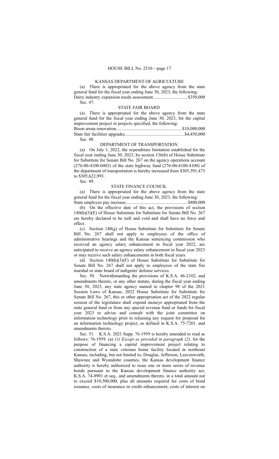## KANSAS DEPARTMENT OF AGRICULTURE

(a) There is appropriated for the above agency from the state general fund for the fiscal year ending June 30, 2023, the following: Dairy industry expansion needs assessment..............................\$350,000 Sec. 47.

#### STATE FAIR BOARD

(a) There is appropriated for the above agency from the state general fund for the fiscal year ending June 30, 2023, for the capital improvement project or projects specified, the following: Bison arena renovation..........................................................\$10,000,000 State fair facilities upgrades....................................................\$4,450,000 Sec. 48.

#### DEPARTMENT OF TRANSPORTATION

(a) On July 1, 2022, the expenditure limitation established for the fiscal year ending June 30, 2023, by section 136(b) of House Substitute for Substitute for Senate Bill No. 267 on the agency operations account (276-00-4100-0403) of the state highway fund (276-00-4100-4100) of the department of transportation is hereby increased from \$305,591,473 to \$305,622,993.

Sec. 49.

## STATE FINANCE COUNCIL

(a) There is appropriated for the above agency from the state general fund for the fiscal year ending June 30, 2023, the following: State employee pay increase......................................................\$800,000

(b) On the effective date of this act, the provisions of section 140(h)(3)(E) of House Substitute for Substitute for Senate Bill No. 267 are hereby declared to be null and void and shall have no force and effect.

(c) Section 140(g) of House Substitute for Substitute for Senate Bill No. 267 shall not apply to employees of the office of administrative hearings and the Kansas sentencing commission who received an agency salary enhancement in fiscal year 2022, are anticipated to receive an agency salary enhancement in fiscal year 2023 or may receive such salary enhancements in both fiscal years.

(d) Section  $140(h)(3)(F)$  of House Substitute for Substitute for Senate Bill No. 267 shall not apply to employees of the state fire marshal or state board of indigents' defense services.

Sec. 50. Notwithstanding the provisions of K.S.A. 46-2102, and amendments thereto, or any other statute, during the fiscal year ending June 30, 2023, any state agency named in chapter 98 of the 2021 Session Laws of Kansas, 2022 House Substitute for Substitute for Senate Bill No. 267, this or other appropriation act of the 2022 regular session of the legislature shall expend moneys appropriated from the state general fund or from any special revenue fund or funds for fiscal year 2023 to advise and consult with the joint committee on information technology prior to releasing any request for proposal for an information technology project, as defined in K.S.A. 75-7201, and amendments thereto.

Sec. 51. K.S.A. 2021 Supp. 76-1959 is hereby amended to read as follows: 76-1959. (a) *(1) Except as provided in paragraph (2),* for the purpose of financing a capital improvement project relating to construction of a state veterans home facility located in northeast Kansas, including, but not limited to, Douglas, Jefferson, Leavenworth, Shawnee and Wyandotte counties, the Kansas development finance authority is hereby authorized to issue one or more series of revenue bonds pursuant to the Kansas development finance authority act, K.S.A. 74-8901 et seq., and amendments thereto, in a total amount not to exceed \$10,500,000, plus all amounts required for costs of bond issuance, costs of insurance or credit enhancement, costs of interest on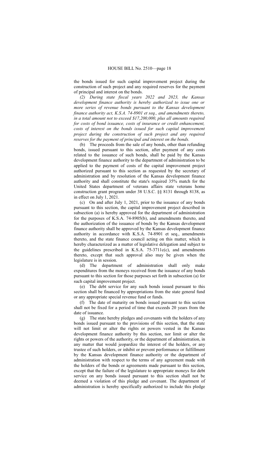the bonds issued for such capital improvement project during the construction of such project and any required reserves for the payment of principal and interest on the bonds.

*(2) During state fiscal years 2022 and 2023, the Kansas development finance authority is hereby authorized to issue one or more series of revenue bonds pursuant to the Kansas development finance authority act, K.S.A. 74-8901 et seq., and amendments thereto, in a total amount not to exceed \$17,200,000, plus all amounts required for costs of bond issuance, costs of insurance or credit enhancement, costs of interest on the bonds issued for such capital improvement project during the construction of such project and any required reserves for the payment of principal and interest on the bonds.*

(b) The proceeds from the sale of any bonds, other than refunding bonds, issued pursuant to this section, after payment of any costs related to the issuance of such bonds, shall be paid by the Kansas development finance authority to the department of administration to be applied to the payment of costs of the capital improvement project authorized pursuant to this section as requested by the secretary of administration and by resolution of the Kansas development finance authority and shall constitute the state's required 35% match for the United States department of veterans affairs state veterans home construction grant program under 38 U.S.C. §§ 8131 through 8138, as in effect on July 1, 2021.

(c) On and after July 1, 2021, prior to the issuance of any bonds pursuant to this section, the capital improvement project described in subsection (a) is hereby approved for the department of administration for the purposes of K.S.A. 74-8905(b), and amendments thereto, and the authorization of the issuance of bonds by the Kansas development finance authority shall be approved by the Kansas development finance authority in accordance with K.S.A. 74-8901 et seq., amendments thereto, and the state finance council acting on this matter, which is hereby characterized as a matter of legislative delegation and subject to the guidelines prescribed in K.S.A. 75-3711c(c), and amendments thereto, except that such approval also may be given when the legislature is in session.

(d) The department of administration shall only make expenditures from the moneys received from the issuance of any bonds pursuant to this section for those purposes set forth in subsection (a) for such capital improvement project.

(e) The debt service for any such bonds issued pursuant to this section shall be financed by appropriations from the state general fund or any appropriate special revenue fund or funds.

(f) The date of maturity on bonds issued pursuant to this section shall not be fixed for a period of time that exceeds 20 years from the date of issuance.

(g) The state hereby pledges and covenants with the holders of any bonds issued pursuant to the provisions of this section, that the state will not limit or alter the rights or powers vested in the Kansas development finance authority by this section, nor limit or alter the rights or powers of the authority, or the department of administration, in any matter that would jeopardize the interest of the holders, or any trustee of such holders, or inhibit or prevent performance or fulfillment by the Kansas development finance authority or the department of administration with respect to the terms of any agreement made with the holders of the bonds or agreements made pursuant to this section, except that the failure of the legislature to appropriate moneys for debt service on any bonds issued pursuant to this section shall not be deemed a violation of this pledge and covenant. The department of administration is hereby specifically authorized to include this pledge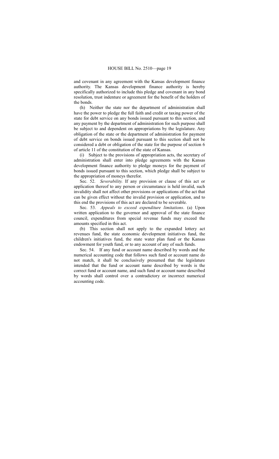and covenant in any agreement with the Kansas development finance authority. The Kansas development finance authority is hereby specifically authorized to include this pledge and covenant in any bond resolution, trust indenture or agreement for the benefit of the holders of the bonds.

(h) Neither the state nor the department of administration shall have the power to pledge the full faith and credit or taxing power of the state for debt service on any bonds issued pursuant to this section, and any payment by the department of administration for such purpose shall be subject to and dependent on appropriations by the legislature. Any obligation of the state or the department of administration for payment of debt service on bonds issued pursuant to this section shall not be considered a debt or obligation of the state for the purpose of section 6 of article 11 of the constitution of the state of Kansas.

(i) Subject to the provisions of appropriation acts, the secretary of administration shall enter into pledge agreements with the Kansas development finance authority to pledge moneys for the payment of bonds issued pursuant to this section, which pledge shall be subject to the appropriation of moneys therefor.

Sec. 52. *Severability.* If any provision or clause of this act or application thereof to any person or circumstance is held invalid, such invalidity shall not affect other provisions or applications of the act that can be given effect without the invalid provision or application, and to this end the provisions of this act are declared to be severable.

Sec. 53. *Appeals to exceed expenditure limitations*. (a) Upon written application to the governor and approval of the state finance council, expenditures from special revenue funds may exceed the amounts specified in this act.

(b) This section shall not apply to the expanded lottery act revenues fund, the state economic development initiatives fund, the children's initiatives fund, the state water plan fund or the Kansas endowment for youth fund, or to any account of any of such funds.

Sec. 54. If any fund or account name described by words and the numerical accounting code that follows such fund or account name do not match, it shall be conclusively presumed that the legislature intended that the fund or account name described by words is the correct fund or account name, and such fund or account name described by words shall control over a contradictory or incorrect numerical accounting code.